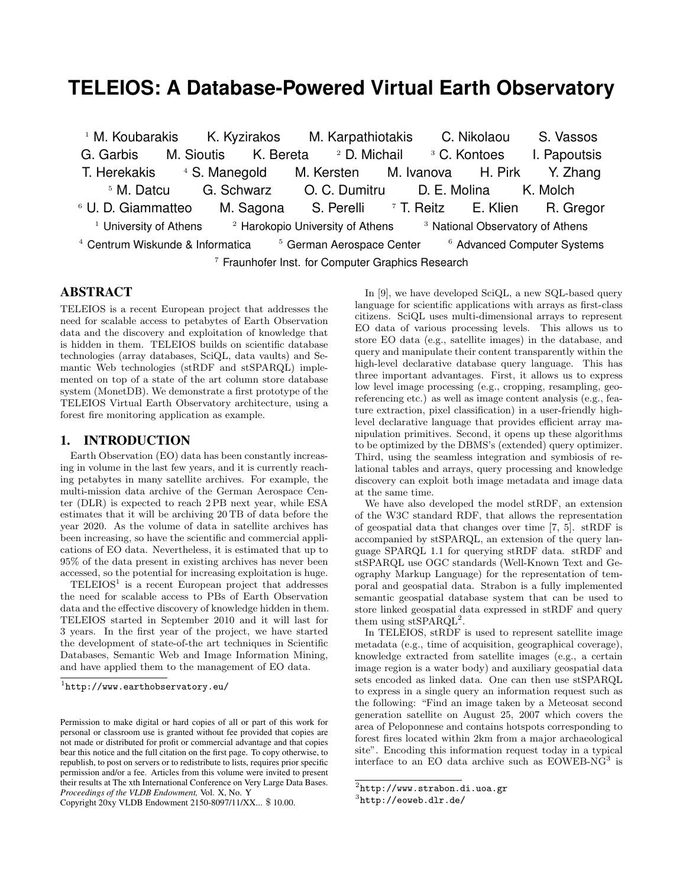# **TELEIOS: A Database-Powered Virtual Earth Observatory**

<sup>1</sup> M. Koubarakis K. Kyzirakos M. Karpathiotakis C. Nikolaou S. Vassos G. Garbis M. Sioutis K. Bereta <sup>2</sup> D. Michail <sup>3</sup> C. Kontoes I. Papoutsis T. Herekakis <sup>4</sup> S. Manegold M. Kersten M. Ivanova H. Pirk Y. Zhang <sup>5</sup> M. Datcu G. Schwarz O. C. Dumitru D. E. Molina K. Molch <sup>6</sup> U. D. Giammatteo M. Sagona S. Perelli <sup>7</sup> T. Reitz E. Klien R. Gregor <sup>1</sup> University of Athens  $\frac{2}{3}$  Harokopio University of Athens  $\frac{3}{3}$  National Observatory of Athens  $4$  Centrum Wiskunde & Informatica  $5$  German Aerospace Center  $6$  Advanced Computer Systems <sup>7</sup> Fraunhofer Inst. for Computer Graphics Research

# ABSTRACT

TELEIOS is a recent European project that addresses the need for scalable access to petabytes of Earth Observation data and the discovery and exploitation of knowledge that is hidden in them. TELEIOS builds on scientific database technologies (array databases, SciQL, data vaults) and Semantic Web technologies (stRDF and stSPARQL) implemented on top of a state of the art column store database system (MonetDB). We demonstrate a first prototype of the TELEIOS Virtual Earth Observatory architecture, using a forest fire monitoring application as example.

#### 1. INTRODUCTION

Earth Observation (EO) data has been constantly increasing in volume in the last few years, and it is currently reaching petabytes in many satellite archives. For example, the multi-mission data archive of the German Aerospace Center (DLR) is expected to reach 2 PB next year, while ESA estimates that it will be archiving 20 TB of data before the year 2020. As the volume of data in satellite archives has been increasing, so have the scientific and commercial applications of EO data. Nevertheless, it is estimated that up to 95% of the data present in existing archives has never been accessed, so the potential for increasing exploitation is huge.

 $TELEIOS<sup>1</sup>$  is a recent European project that addresses the need for scalable access to PBs of Earth Observation data and the effective discovery of knowledge hidden in them. TELEIOS started in September 2010 and it will last for 3 years. In the first year of the project, we have started the development of state-of-the art techniques in Scientific Databases, Semantic Web and Image Information Mining, and have applied them to the management of EO data.

Copyright 20xy VLDB Endowment 2150-8097/11/XX... \$ 10.00.

In [9], we have developed SciQL, a new SQL-based query language for scientific applications with arrays as first-class citizens. SciQL uses multi-dimensional arrays to represent EO data of various processing levels. This allows us to store EO data (e.g., satellite images) in the database, and query and manipulate their content transparently within the high-level declarative database query language. This has three important advantages. First, it allows us to express low level image processing (e.g., cropping, resampling, georeferencing etc.) as well as image content analysis (e.g., feature extraction, pixel classification) in a user-friendly highlevel declarative language that provides efficient array manipulation primitives. Second, it opens up these algorithms to be optimized by the DBMS's (extended) query optimizer. Third, using the seamless integration and symbiosis of relational tables and arrays, query processing and knowledge discovery can exploit both image metadata and image data at the same time.

We have also developed the model stRDF, an extension of the W3C standard RDF, that allows the representation of geospatial data that changes over time [7, 5]. stRDF is accompanied by stSPARQL, an extension of the query language SPARQL 1.1 for querying stRDF data. stRDF and stSPARQL use OGC standards (Well-Known Text and Geography Markup Language) for the representation of temporal and geospatial data. Strabon is a fully implemented semantic geospatial database system that can be used to store linked geospatial data expressed in stRDF and query them using stSPARQ $L^2$ .

In TELEIOS, stRDF is used to represent satellite image metadata (e.g., time of acquisition, geographical coverage), knowledge extracted from satellite images (e.g., a certain image region is a water body) and auxiliary geospatial data sets encoded as linked data. One can then use stSPARQL to express in a single query an information request such as the following: "Find an image taken by a Meteosat second generation satellite on August 25, 2007 which covers the area of Peloponnese and contains hotspots corresponding to forest fires located within 2km from a major archaeological site". Encoding this information request today in a typical interface to an EO data archive such as EOWEB-NG<sup>3</sup> is

<sup>1</sup> http://www.earthobservatory.eu/

Permission to make digital or hard copies of all or part of this work for personal or classroom use is granted without fee provided that copies are not made or distributed for profit or commercial advantage and that copies bear this notice and the full citation on the first page. To copy otherwise, to republish, to post on servers or to redistribute to lists, requires prior specific permission and/or a fee. Articles from this volume were invited to present their results at The xth International Conference on Very Large Data Bases. *Proceedings of the VLDB Endowment,* Vol. X, No. Y

 $^{2}$ http://www.strabon.di.uoa.gr

 ${}^{3}$ http://eoweb.dlr.de/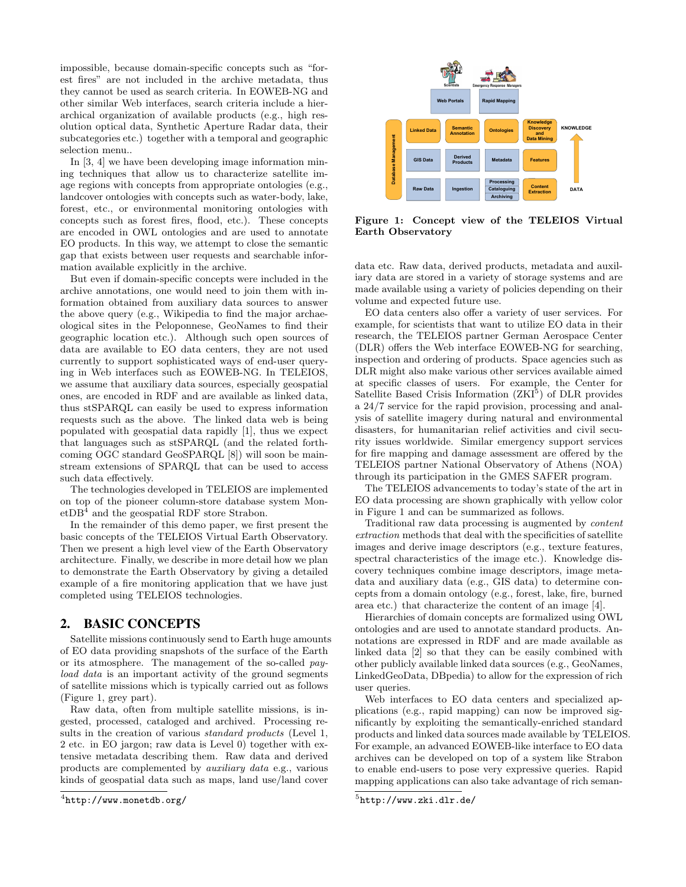impossible, because domain-specific concepts such as "forest fires" are not included in the archive metadata, thus they cannot be used as search criteria. In EOWEB-NG and other similar Web interfaces, search criteria include a hierarchical organization of available products (e.g., high resolution optical data, Synthetic Aperture Radar data, their subcategories etc.) together with a temporal and geographic selection menu..

In [3, 4] we have been developing image information mining techniques that allow us to characterize satellite image regions with concepts from appropriate ontologies (e.g., landcover ontologies with concepts such as water-body, lake, forest, etc., or environmental monitoring ontologies with concepts such as forest fires, flood, etc.). These concepts are encoded in OWL ontologies and are used to annotate EO products. In this way, we attempt to close the semantic gap that exists between user requests and searchable information available explicitly in the archive.

But even if domain-specific concepts were included in the archive annotations, one would need to join them with information obtained from auxiliary data sources to answer the above query (e.g., Wikipedia to find the major archaeological sites in the Peloponnese, GeoNames to find their geographic location etc.). Although such open sources of data are available to EO data centers, they are not used currently to support sophisticated ways of end-user querying in Web interfaces such as EOWEB-NG. In TELEIOS, we assume that auxiliary data sources, especially geospatial ones, are encoded in RDF and are available as linked data, thus stSPARQL can easily be used to express information requests such as the above. The linked data web is being populated with geospatial data rapidly [1], thus we expect that languages such as stSPARQL (and the related forthcoming OGC standard GeoSPARQL [8]) will soon be mainstream extensions of SPARQL that can be used to access such data effectively.

The technologies developed in TELEIOS are implemented on top of the pioneer column-store database system MonetDB<sup>4</sup> and the geospatial RDF store Strabon.

In the remainder of this demo paper, we first present the basic concepts of the TELEIOS Virtual Earth Observatory. Then we present a high level view of the Earth Observatory architecture. Finally, we describe in more detail how we plan to demonstrate the Earth Observatory by giving a detailed example of a fire monitoring application that we have just completed using TELEIOS technologies.

#### 2. BASIC CONCEPTS

Satellite missions continuously send to Earth huge amounts of EO data providing snapshots of the surface of the Earth or its atmosphere. The management of the so-called payload data is an important activity of the ground segments of satellite missions which is typically carried out as follows (Figure 1, grey part).

Raw data, often from multiple satellite missions, is ingested, processed, cataloged and archived. Processing results in the creation of various *standard products* (Level 1, 2 etc. in EO jargon; raw data is Level 0) together with extensive metadata describing them. Raw data and derived products are complemented by auxiliary data e.g., various kinds of geospatial data such as maps, land use/land cover



Figure 1: Concept view of the TELEIOS Virtual Earth Observatory

data etc. Raw data, derived products, metadata and auxiliary data are stored in a variety of storage systems and are made available using a variety of policies depending on their volume and expected future use.

EO data centers also offer a variety of user services. For example, for scientists that want to utilize EO data in their research, the TELEIOS partner German Aerospace Center (DLR) offers the Web interface EOWEB-NG for searching, inspection and ordering of products. Space agencies such as DLR might also make various other services available aimed at specific classes of users. For example, the Center for Satellite Based Crisis Information  $(ZKI^5)$  of DLR provides a 24/7 service for the rapid provision, processing and analysis of satellite imagery during natural and environmental disasters, for humanitarian relief activities and civil security issues worldwide. Similar emergency support services for fire mapping and damage assessment are offered by the TELEIOS partner National Observatory of Athens (NOA) through its participation in the GMES SAFER program.

The TELEIOS advancements to today's state of the art in EO data processing are shown graphically with yellow color in Figure 1 and can be summarized as follows.

Traditional raw data processing is augmented by content extraction methods that deal with the specificities of satellite images and derive image descriptors (e.g., texture features, spectral characteristics of the image etc.). Knowledge discovery techniques combine image descriptors, image metadata and auxiliary data (e.g., GIS data) to determine concepts from a domain ontology (e.g., forest, lake, fire, burned area etc.) that characterize the content of an image [4].

Hierarchies of domain concepts are formalized using OWL ontologies and are used to annotate standard products. Annotations are expressed in RDF and are made available as linked data [2] so that they can be easily combined with other publicly available linked data sources (e.g., GeoNames, LinkedGeoData, DBpedia) to allow for the expression of rich user queries.

Web interfaces to EO data centers and specialized applications (e.g., rapid mapping) can now be improved significantly by exploiting the semantically-enriched standard products and linked data sources made available by TELEIOS. For example, an advanced EOWEB-like interface to EO data archives can be developed on top of a system like Strabon to enable end-users to pose very expressive queries. Rapid mapping applications can also take advantage of rich seman-

 $^4$ http://www.monetdb.org/

 $^{5}$ http://www.zki.dlr.de/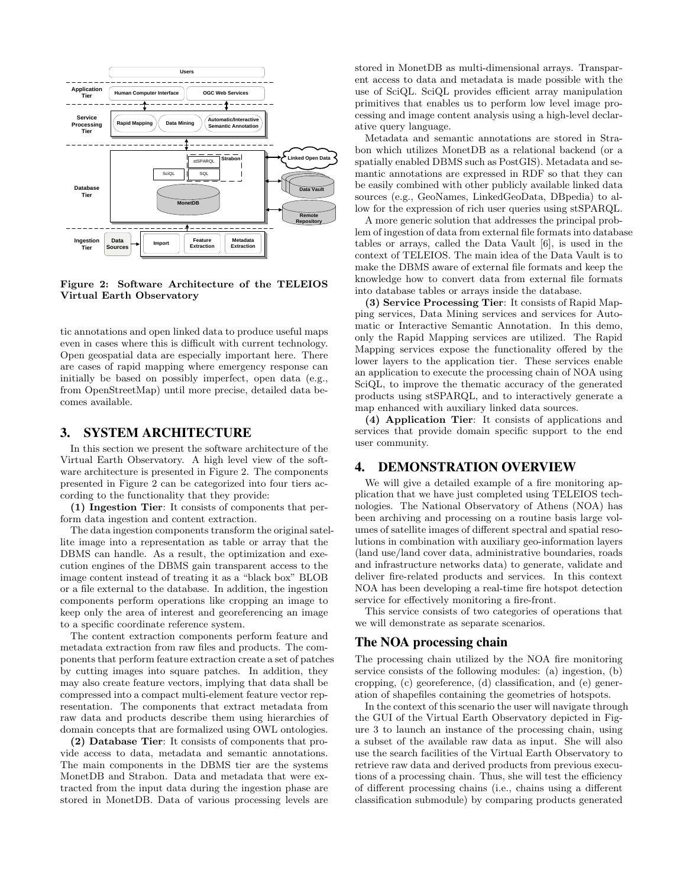

Figure 2: Software Architecture of the TELEIOS Virtual Earth Observatory

tic annotations and open linked data to produce useful maps even in cases where this is difficult with current technology. Open geospatial data are especially important here. There are cases of rapid mapping where emergency response can initially be based on possibly imperfect, open data (e.g., from OpenStreetMap) until more precise, detailed data becomes available.

#### 3. SYSTEM ARCHITECTURE

In this section we present the software architecture of the Virtual Earth Observatory. A high level view of the software architecture is presented in Figure 2. The components presented in Figure 2 can be categorized into four tiers according to the functionality that they provide:

(1) Ingestion Tier: It consists of components that perform data ingestion and content extraction.

The data ingestion components transform the original satellite image into a representation as table or array that the DBMS can handle. As a result, the optimization and execution engines of the DBMS gain transparent access to the image content instead of treating it as a "black box" BLOB or a file external to the database. In addition, the ingestion components perform operations like cropping an image to keep only the area of interest and georeferencing an image to a specific coordinate reference system.

The content extraction components perform feature and metadata extraction from raw files and products. The components that perform feature extraction create a set of patches by cutting images into square patches. In addition, they may also create feature vectors, implying that data shall be compressed into a compact multi-element feature vector representation. The components that extract metadata from raw data and products describe them using hierarchies of domain concepts that are formalized using OWL ontologies.

(2) Database Tier: It consists of components that provide access to data, metadata and semantic annotations. The main components in the DBMS tier are the systems MonetDB and Strabon. Data and metadata that were extracted from the input data during the ingestion phase are stored in MonetDB. Data of various processing levels are stored in MonetDB as multi-dimensional arrays. Transparent access to data and metadata is made possible with the use of SciQL. SciQL provides efficient array manipulation primitives that enables us to perform low level image processing and image content analysis using a high-level declarative query language.

Metadata and semantic annotations are stored in Strabon which utilizes MonetDB as a relational backend (or a spatially enabled DBMS such as PostGIS). Metadata and semantic annotations are expressed in RDF so that they can be easily combined with other publicly available linked data sources (e.g., GeoNames, LinkedGeoData, DBpedia) to allow for the expression of rich user queries using stSPARQL.

A more generic solution that addresses the principal problem of ingestion of data from external file formats into database tables or arrays, called the Data Vault [6], is used in the context of TELEIOS. The main idea of the Data Vault is to make the DBMS aware of external file formats and keep the knowledge how to convert data from external file formats into database tables or arrays inside the database.

(3) Service Processing Tier: It consists of Rapid Mapping services, Data Mining services and services for Automatic or Interactive Semantic Annotation. In this demo, only the Rapid Mapping services are utilized. The Rapid Mapping services expose the functionality offered by the lower layers to the application tier. These services enable an application to execute the processing chain of NOA using SciQL, to improve the thematic accuracy of the generated products using stSPARQL, and to interactively generate a map enhanced with auxiliary linked data sources.

(4) Application Tier: It consists of applications and services that provide domain specific support to the end user community.

#### 4. DEMONSTRATION OVERVIEW

We will give a detailed example of a fire monitoring application that we have just completed using TELEIOS technologies. The National Observatory of Athens (NOA) has been archiving and processing on a routine basis large volumes of satellite images of different spectral and spatial resolutions in combination with auxiliary geo-information layers (land use/land cover data, administrative boundaries, roads and infrastructure networks data) to generate, validate and deliver fire-related products and services. In this context NOA has been developing a real-time fire hotspot detection service for effectively monitoring a fire-front.

This service consists of two categories of operations that we will demonstrate as separate scenarios.

#### The NOA processing chain

The processing chain utilized by the NOA fire monitoring service consists of the following modules: (a) ingestion, (b) cropping, (c) georeference, (d) classification, and (e) generation of shapefiles containing the geometries of hotspots.

In the context of this scenario the user will navigate through the GUI of the Virtual Earth Observatory depicted in Figure 3 to launch an instance of the processing chain, using a subset of the available raw data as input. She will also use the search facilities of the Virtual Earth Observatory to retrieve raw data and derived products from previous executions of a processing chain. Thus, she will test the efficiency of different processing chains (i.e., chains using a different classification submodule) by comparing products generated